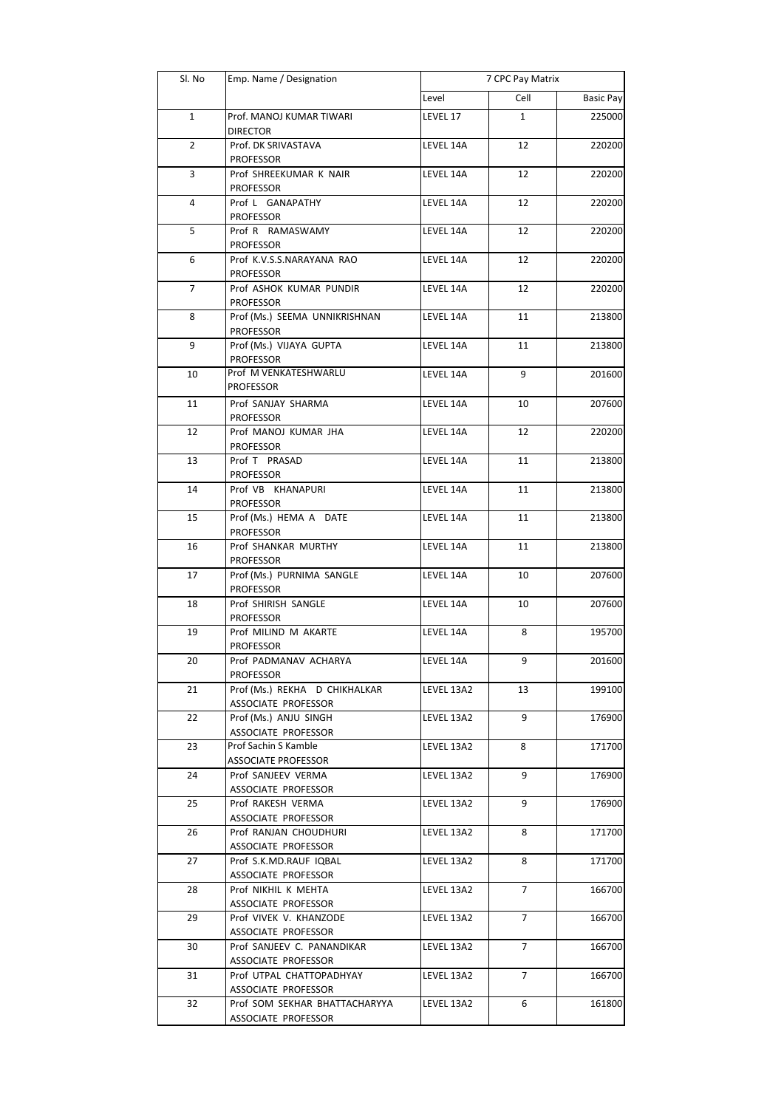| Sl. No         | Emp. Name / Designation                           | 7 CPC Pay Matrix |                |                  |
|----------------|---------------------------------------------------|------------------|----------------|------------------|
|                |                                                   | Level            | Cell           | <b>Basic Pay</b> |
| $\mathbf 1$    | Prof. MANOJ KUMAR TIWARI                          | LEVEL 17         | 1              | 225000           |
|                | <b>DIRECTOR</b>                                   |                  |                |                  |
| $\overline{2}$ | Prof. DK SRIVASTAVA                               | LEVEL 14A        | 12             | 220200           |
|                | <b>PROFESSOR</b>                                  |                  |                |                  |
| 3              | Prof SHREEKUMAR K NAIR                            | LEVEL 14A        | 12             | 220200           |
| 4              | <b>PROFESSOR</b>                                  | LEVEL 14A        | 12             | 220200           |
|                | Prof L GANAPATHY<br><b>PROFESSOR</b>              |                  |                |                  |
| 5              | Prof R RAMASWAMY                                  | LEVEL 14A        | 12             | 220200           |
|                | <b>PROFESSOR</b>                                  |                  |                |                  |
| 6              | Prof K.V.S.S.NARAYANA RAO                         | LEVEL 14A        | 12             | 220200           |
|                | <b>PROFESSOR</b>                                  |                  |                |                  |
| $\overline{7}$ | Prof ASHOK KUMAR PUNDIR                           | LEVEL 14A        | 12             | 220200           |
|                | <b>PROFESSOR</b>                                  |                  |                |                  |
| 8              | Prof (Ms.) SEEMA UNNIKRISHNAN<br><b>PROFESSOR</b> | LEVEL 14A        | 11             | 213800           |
| 9              | Prof (Ms.) VIJAYA GUPTA                           | LEVEL 14A        | 11             | 213800           |
|                | <b>PROFESSOR</b>                                  |                  |                |                  |
| 10             | Prof M VENKATESHWARLU                             | LEVEL 14A        | 9              | 201600           |
|                | <b>PROFESSOR</b>                                  |                  |                |                  |
| 11             | Prof SANJAY SHARMA                                | LEVEL 14A        | 10             | 207600           |
|                | <b>PROFESSOR</b>                                  |                  |                |                  |
| 12             | Prof MANOJ KUMAR JHA                              | LEVEL 14A        | 12             | 220200           |
| 13             | <b>PROFESSOR</b><br>Prof T PRASAD                 | LEVEL 14A        | 11             | 213800           |
|                | <b>PROFESSOR</b>                                  |                  |                |                  |
| 14             | Prof VB KHANAPURI                                 | LEVEL 14A        | 11             | 213800           |
|                | <b>PROFESSOR</b>                                  |                  |                |                  |
| 15             | Prof (Ms.) HEMA A DATE                            | LEVEL 14A        | 11             | 213800           |
|                | <b>PROFESSOR</b>                                  |                  |                |                  |
| 16             | Prof SHANKAR MURTHY                               | LEVEL 14A        | 11             | 213800           |
| 17             | <b>PROFESSOR</b><br>Prof (Ms.) PURNIMA SANGLE     | LEVEL 14A        | 10             | 207600           |
|                | <b>PROFESSOR</b>                                  |                  |                |                  |
| 18             | Prof SHIRISH SANGLE                               | LEVEL 14A        | 10             | 207600           |
|                | <b>PROFESSOR</b>                                  |                  |                |                  |
| 19             | Prof MILIND M AKARTE                              | LEVEL 14A        | 8              | 195700           |
|                | <b>PROFESSOR</b>                                  |                  |                |                  |
| $20\,$         | Prof PADMANAV ACHARYA                             | LEVEL 14A        | 9              | 201600           |
| 21             | <b>PROFESSOR</b><br>Prof (Ms.) REKHA D CHIKHALKAR | LEVEL 13A2       | 13             | 199100           |
|                | ASSOCIATE PROFESSOR                               |                  |                |                  |
| 22             | Prof (Ms.) ANJU SINGH                             | LEVEL 13A2       | 9              | 176900           |
|                | ASSOCIATE PROFESSOR                               |                  |                |                  |
| 23             | Prof Sachin S Kamble                              | LEVEL 13A2       | 8              | 171700           |
|                | <b>ASSOCIATE PROFESSOR</b>                        |                  |                |                  |
| 24             | Prof SANJEEV VERMA<br>ASSOCIATE PROFESSOR         | LEVEL 13A2       | 9              | 176900           |
| 25             | Prof RAKESH VERMA                                 | LEVEL 13A2       | 9              | 176900           |
|                | ASSOCIATE PROFESSOR                               |                  |                |                  |
| 26             | Prof RANJAN CHOUDHURI                             | LEVEL 13A2       | 8              | 171700           |
|                | ASSOCIATE PROFESSOR                               |                  |                |                  |
| 27             | Prof S.K.MD.RAUF IQBAL                            | LEVEL 13A2       | 8              | 171700           |
|                | ASSOCIATE PROFESSOR                               |                  |                |                  |
| 28             | Prof NIKHIL K MEHTA<br>ASSOCIATE PROFESSOR        | LEVEL 13A2       | $\overline{7}$ | 166700           |
| 29             | Prof VIVEK V. KHANZODE                            | LEVEL 13A2       | 7              | 166700           |
|                | ASSOCIATE PROFESSOR                               |                  |                |                  |
| 30             | Prof SANJEEV C. PANANDIKAR                        | LEVEL 13A2       | 7              | 166700           |
|                | ASSOCIATE PROFESSOR                               |                  |                |                  |
| 31             | Prof UTPAL CHATTOPADHYAY                          | LEVEL 13A2       | 7              | 166700           |
|                | ASSOCIATE PROFESSOR                               |                  |                |                  |
| 32             | Prof SOM SEKHAR BHATTACHARYYA                     | LEVEL 13A2       | 6              | 161800           |
|                | ASSOCIATE PROFESSOR                               |                  |                |                  |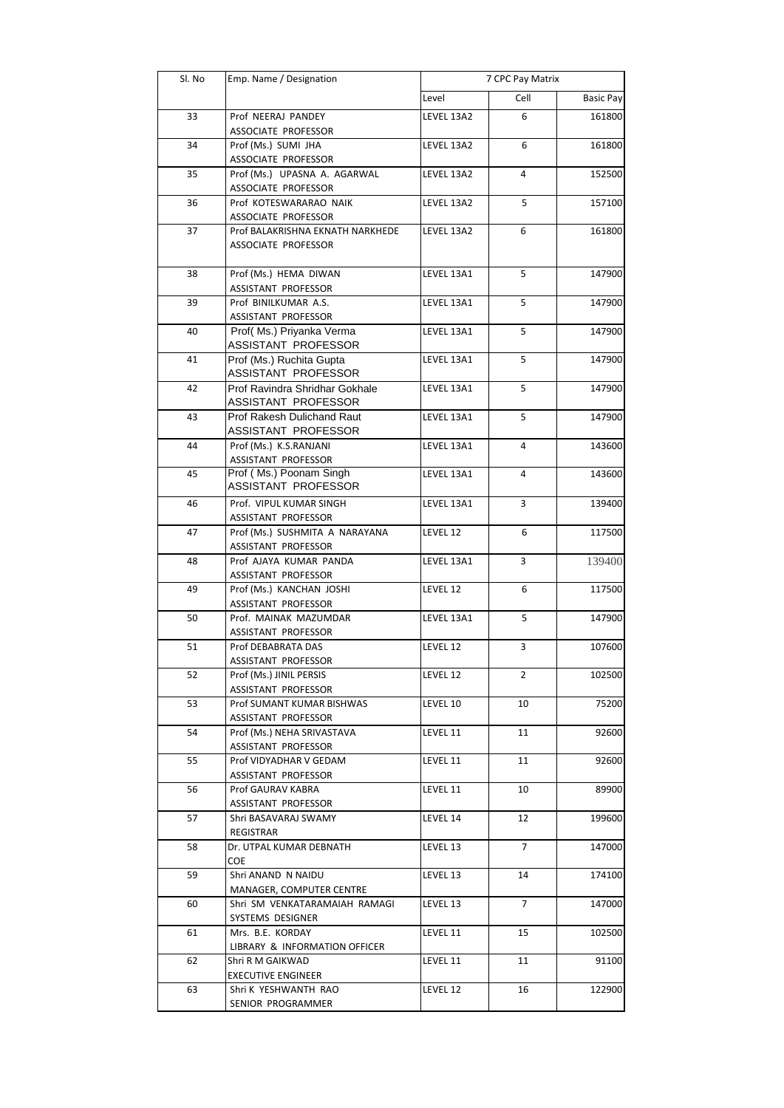| Sl. No | Emp. Name / Designation                               | 7 CPC Pay Matrix |                |                  |
|--------|-------------------------------------------------------|------------------|----------------|------------------|
|        |                                                       | Level            | Cell           | <b>Basic Pay</b> |
| 33     | Prof NEERAJ PANDEY                                    | LEVEL 13A2       | 6              | 161800           |
|        | ASSOCIATE PROFESSOR                                   |                  |                |                  |
| 34     | Prof (Ms.) SUMI JHA                                   | LEVEL 13A2       | 6              | 161800           |
|        | ASSOCIATE PROFESSOR                                   |                  |                |                  |
| 35     | Prof (Ms.) UPASNA A. AGARWAL                          | LEVEL 13A2       | 4              | 152500           |
| 36     | ASSOCIATE PROFESSOR<br>Prof KOTESWARARAO NAIK         | LEVEL 13A2       | 5              | 157100           |
|        | ASSOCIATE PROFESSOR                                   |                  |                |                  |
| 37     | Prof BALAKRISHNA EKNATH NARKHEDE                      | LEVEL 13A2       | 6              | 161800           |
|        | ASSOCIATE PROFESSOR                                   |                  |                |                  |
|        |                                                       |                  |                |                  |
| 38     | Prof (Ms.) HEMA DIWAN                                 | LEVEL 13A1       | 5              | 147900           |
| 39     | ASSISTANT PROFESSOR<br>Prof BINILKUMAR A.S.           | LEVEL 13A1       | 5              | 147900           |
|        | ASSISTANT PROFESSOR                                   |                  |                |                  |
| 40     | Prof(Ms.) Priyanka Verma                              | LEVEL 13A1       | 5              | 147900           |
|        | ASSISTANT PROFESSOR                                   |                  |                |                  |
| 41     | Prof (Ms.) Ruchita Gupta                              | LEVEL 13A1       | 5              | 147900           |
|        | ASSISTANT PROFESSOR                                   |                  |                |                  |
| 42     | Prof Ravindra Shridhar Gokhale<br>ASSISTANT PROFESSOR | LEVEL 13A1       | 5              | 147900           |
| 43     | Prof Rakesh Dulichand Raut                            | LEVEL 13A1       | 5              | 147900           |
|        | ASSISTANT PROFESSOR                                   |                  |                |                  |
| 44     | Prof (Ms.) K.S.RANJANI                                | LEVEL 13A1       | 4              | 143600           |
|        | ASSISTANT PROFESSOR                                   |                  |                |                  |
| 45     | Prof (Ms.) Poonam Singh                               | LEVEL 13A1       | 4              | 143600           |
|        | ASSISTANT PROFESSOR                                   |                  |                |                  |
| 46     | Prof. VIPUL KUMAR SINGH                               | LEVEL 13A1       | 3              | 139400           |
|        | ASSISTANT PROFESSOR                                   |                  |                |                  |
| 47     | Prof (Ms.) SUSHMITA A NARAYANA<br>ASSISTANT PROFESSOR | LEVEL 12         | 6              | 117500           |
| 48     | Prof AJAYA KUMAR PANDA                                | LEVEL 13A1       | 3              | 139400           |
|        | ASSISTANT PROFESSOR                                   |                  |                |                  |
| 49     | Prof (Ms.) KANCHAN JOSHI                              | LEVEL 12         | 6              | 117500           |
|        | ASSISTANT PROFESSOR                                   |                  |                |                  |
| 50     | Prof. MAINAK MAZUMDAR                                 | LEVEL 13A1       | 5              | 147900           |
| 51     | ASSISTANT PROFESSOR                                   |                  | 3              |                  |
|        | Prof DEBABRATA DAS<br>ASSISTANT PROFESSOR             | LEVEL 12         |                | 107600           |
| 52     | Prof (Ms.) JINIL PERSIS                               | LEVEL 12         | 2              | 102500           |
|        | ASSISTANT PROFESSOR                                   |                  |                |                  |
| 53     | Prof SUMANT KUMAR BISHWAS                             | LEVEL 10         | 10             | 75200            |
|        | ASSISTANT PROFESSOR                                   |                  |                |                  |
| 54     | Prof (Ms.) NEHA SRIVASTAVA                            | LEVEL 11         | 11             | 92600            |
| 55     | ASSISTANT PROFESSOR<br>Prof VIDYADHAR V GEDAM         | LEVEL 11         | 11             | 92600            |
|        | ASSISTANT PROFESSOR                                   |                  |                |                  |
| 56     | Prof GAURAV KABRA                                     | LEVEL 11         | 10             | 89900            |
|        | ASSISTANT PROFESSOR                                   |                  |                |                  |
| 57     | Shri BASAVARAJ SWAMY                                  | LEVEL 14         | 12             | 199600           |
|        | REGISTRAR                                             |                  |                |                  |
| 58     | Dr. UTPAL KUMAR DEBNATH<br>COE                        | LEVEL 13         | $\overline{7}$ | 147000           |
| 59     | Shri ANAND N NAIDU                                    | LEVEL 13         | 14             | 174100           |
|        | MANAGER, COMPUTER CENTRE                              |                  |                |                  |
| 60     | Shri SM VENKATARAMAIAH RAMAGI                         | LEVEL 13         | 7              | 147000           |
|        | SYSTEMS DESIGNER                                      |                  |                |                  |
| 61     | Mrs. B.E. KORDAY                                      | LEVEL 11         | 15             | 102500           |
|        | LIBRARY & INFORMATION OFFICER                         |                  |                |                  |
| 62     | Shri R M GAIKWAD<br><b>EXECUTIVE ENGINEER</b>         | LEVEL 11         | 11             | 91100            |
| 63     | Shri K YESHWANTH RAO                                  | LEVEL 12         | 16             | 122900           |
|        | SENIOR PROGRAMMER                                     |                  |                |                  |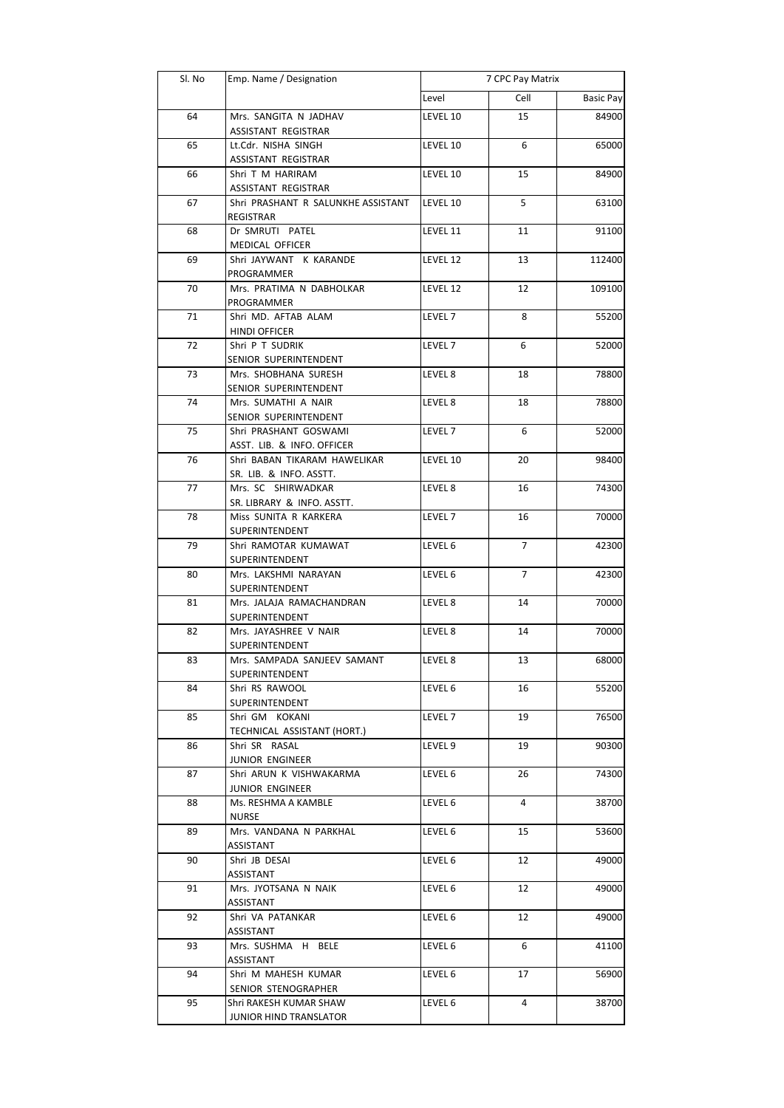| Sl. No | Emp. Name / Designation                                 | 7 CPC Pay Matrix   |                |                  |
|--------|---------------------------------------------------------|--------------------|----------------|------------------|
|        |                                                         | Level              | Cell           | <b>Basic Pay</b> |
| 64     | Mrs. SANGITA N JADHAV<br>ASSISTANT REGISTRAR            | LEVEL 10           | 15             | 84900            |
| 65     | Lt.Cdr. NISHA SINGH<br><b>ASSISTANT REGISTRAR</b>       | LEVEL 10           | 6              | 65000            |
| 66     | Shri T M HARIRAM<br>ASSISTANT REGISTRAR                 | LEVEL 10           | 15             | 84900            |
| 67     | Shri PRASHANT R SALUNKHE ASSISTANT<br><b>REGISTRAR</b>  | LEVEL 10           | 5              | 63100            |
| 68     | Dr SMRUTI PATEL<br>MEDICAL OFFICER                      | LEVEL 11           | 11             | 91100            |
| 69     | Shri JAYWANT K KARANDE<br>PROGRAMMER                    | LEVEL 12           | 13             | 112400           |
| 70     | Mrs. PRATIMA N DABHOLKAR<br>PROGRAMMER                  | LEVEL 12           | 12             | 109100           |
| 71     | Shri MD. AFTAB ALAM<br><b>HINDI OFFICER</b>             | LEVEL <sub>7</sub> | 8              | 55200            |
| 72     | Shri P T SUDRIK<br>SENIOR SUPERINTENDENT                | LEVEL 7            | 6              | 52000            |
| 73     | Mrs. SHOBHANA SURESH<br>SENIOR SUPERINTENDENT           | LEVEL 8            | 18             | 78800            |
| 74     | Mrs. SUMATHI A NAIR<br>SENIOR SUPERINTENDENT            | LEVEL 8            | 18             | 78800            |
| 75     | Shri PRASHANT GOSWAMI<br>ASST. LIB. & INFO. OFFICER     | LEVEL <sub>7</sub> | 6              | 52000            |
| 76     | Shri BABAN TIKARAM HAWELIKAR<br>SR. LIB. & INFO. ASSTT. | LEVEL 10           | 20             | 98400            |
| 77     | Mrs. SC SHIRWADKAR<br>SR. LIBRARY & INFO. ASSTT.        | LEVEL 8            | 16             | 74300            |
| 78     | Miss SUNITA R KARKERA<br>SUPERINTENDENT                 | LEVEL 7            | 16             | 70000            |
| 79     | Shri RAMOTAR KUMAWAT<br>SUPERINTENDENT                  | LEVEL 6            | 7              | 42300            |
| 80     | Mrs. LAKSHMI NARAYAN<br>SUPERINTENDENT                  | LEVEL 6            | $\overline{7}$ | 42300            |
| 81     | Mrs. JALAJA RAMACHANDRAN<br>SUPERINTENDENT              | LEVEL 8            | 14             | 70000            |
| 82     | Mrs. JAYASHREE V NAIR<br>SUPERINTENDENT                 | LEVEL 8            | 14             | 70000            |
| 83     | Mrs. SAMPADA SANJEEV SAMANT<br>SUPERINTENDENT           | LEVEL 8            | 13             | 68000            |
| 84     | Shri RS RAWOOL<br>SUPERINTENDENT                        | LEVEL 6            | 16             | 55200            |
| 85     | Shri GM KOKANI<br>TECHNICAL ASSISTANT (HORT.)           | LEVEL 7            | 19             | 76500            |
| 86     | Shri SR RASAL<br>JUNIOR ENGINEER                        | LEVEL 9            | 19             | 90300            |
| 87     | Shri ARUN K VISHWAKARMA<br>JUNIOR ENGINEER              | LEVEL 6            | 26             | 74300            |
| 88     | Ms. RESHMA A KAMBLE<br>NURSE                            | LEVEL 6            | 4              | 38700            |
| 89     | Mrs. VANDANA N PARKHAL<br>ASSISTANT                     | LEVEL 6            | 15             | 53600            |
| 90     | Shri JB DESAI<br>ASSISTANT                              | LEVEL 6            | 12             | 49000            |
| 91     | Mrs. JYOTSANA N NAIK<br>ASSISTANT                       | LEVEL 6            | 12             | 49000            |
| 92     | Shri VA PATANKAR<br>ASSISTANT                           | LEVEL 6            | 12             | 49000            |
| 93     | Mrs. SUSHMA H BELE<br>ASSISTANT                         | LEVEL 6            | 6              | 41100            |
| 94     | Shri M MAHESH KUMAR<br>SENIOR STENOGRAPHER              | LEVEL 6            | 17             | 56900            |
| 95     | Shri RAKESH KUMAR SHAW<br>JUNIOR HIND TRANSLATOR        | LEVEL 6            | 4              | 38700            |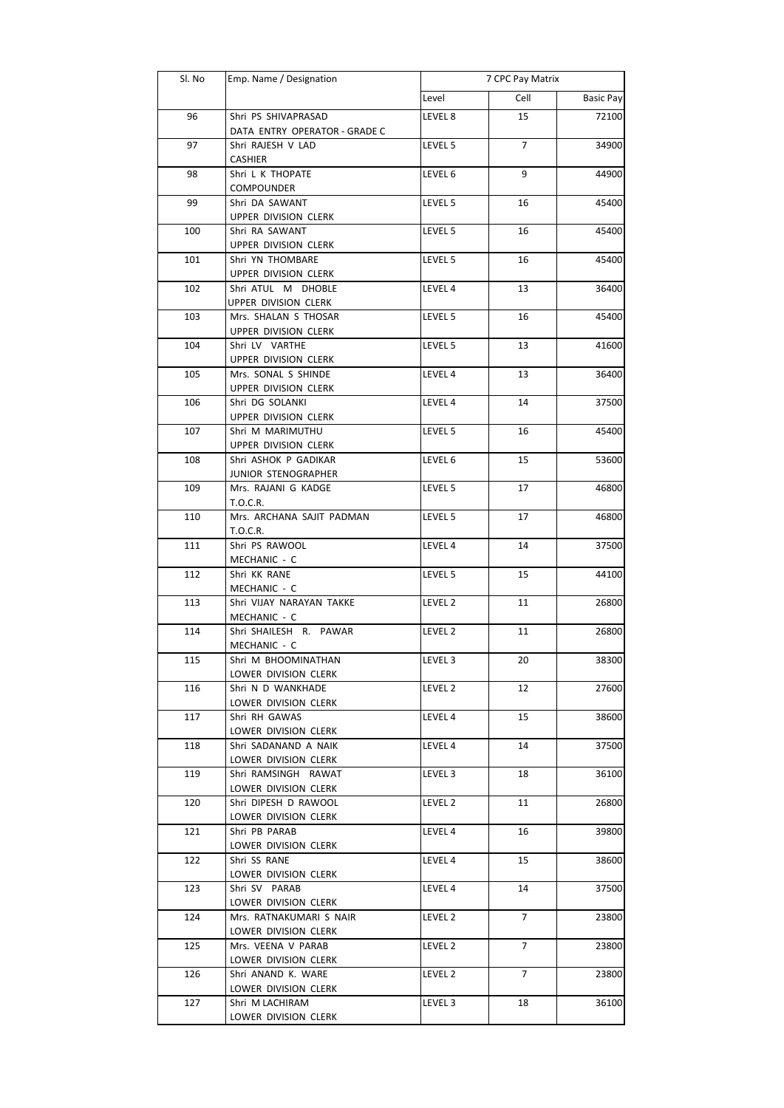| Sl. No | Emp. Name / Designation                      |         | 7 CPC Pay Matrix |                  |  |
|--------|----------------------------------------------|---------|------------------|------------------|--|
|        |                                              | Level   | Cell             | <b>Basic Pay</b> |  |
| 96     | Shri PS SHIVAPRASAD                          | LEVEL 8 | 15               | 72100            |  |
|        | DATA ENTRY OPERATOR - GRADE C                |         |                  |                  |  |
| 97     | Shri RAJESH V LAD                            | LEVEL 5 | 7                | 34900            |  |
|        | <b>CASHIER</b>                               |         |                  |                  |  |
| 98     | Shri L K THOPATE                             | LEVEL 6 | 9                | 44900            |  |
|        | <b>COMPOUNDER</b>                            |         |                  |                  |  |
| 99     | Shri DA SAWANT                               | LEVEL 5 | 16               | 45400            |  |
|        | UPPER DIVISION CLERK                         |         |                  |                  |  |
| 100    | Shri RA SAWANT                               | LEVEL 5 | 16               | 45400            |  |
|        | UPPER DIVISION CLERK                         |         |                  |                  |  |
| 101    | Shri YN THOMBARE                             | LEVEL 5 | 16               | 45400            |  |
|        | UPPER DIVISION CLERK                         |         |                  |                  |  |
| 102    | Shri ATUL M DHOBLE                           | LEVEL 4 | 13               | 36400            |  |
|        | UPPER DIVISION CLERK<br>Mrs. SHALAN S THOSAR |         |                  | 45400            |  |
| 103    | UPPER DIVISION CLERK                         | LEVEL 5 | 16               |                  |  |
| 104    | Shri LV VARTHE                               | LEVEL 5 | 13               | 41600            |  |
|        | UPPER DIVISION CLERK                         |         |                  |                  |  |
| 105    | Mrs. SONAL S SHINDE                          | LEVEL 4 | 13               | 36400            |  |
|        | UPPER DIVISION CLERK                         |         |                  |                  |  |
| 106    | Shri DG SOLANKI                              | LEVEL 4 | 14               | 37500            |  |
|        | UPPER DIVISION CLERK                         |         |                  |                  |  |
| 107    | Shri M MARIMUTHU                             | LEVEL 5 | 16               | 45400            |  |
|        | UPPER DIVISION CLERK                         |         |                  |                  |  |
| 108    | Shri ASHOK P GADIKAR                         | LEVEL 6 | 15               | 53600            |  |
|        | JUNIOR STENOGRAPHER                          |         |                  |                  |  |
| 109    | Mrs. RAJANI G KADGE                          | LEVEL 5 | 17               | 46800            |  |
|        | T.O.C.R.                                     |         |                  |                  |  |
| 110    | Mrs. ARCHANA SAJIT PADMAN                    | LEVEL 5 | 17               | 46800            |  |
|        | T.O.C.R.                                     |         |                  |                  |  |
| 111    | Shri PS RAWOOL                               | LEVEL 4 | 14               | 37500            |  |
|        | MECHANIC - C                                 |         |                  |                  |  |
| 112    | Shri KK RANE                                 | LEVEL 5 | 15               | 44100            |  |
|        | MECHANIC - C<br>Shri VIJAY NARAYAN TAKKE     |         |                  |                  |  |
| 113    | MECHANIC - C                                 | LEVEL 2 | 11               | 26800            |  |
| 114    | Shri SHAILESH R. PAWAR                       | LEVEL 2 | 11               | 26800            |  |
|        | MECHANIC - C                                 |         |                  |                  |  |
| 115    | Shri M BHOOMINATHAN                          | LEVEL 3 | 20               | 38300            |  |
|        | LOWER DIVISION CLERK                         |         |                  |                  |  |
| 116    | Shri N D WANKHADE                            | LEVEL 2 | 12               | 27600            |  |
|        | LOWER DIVISION CLERK                         |         |                  |                  |  |
| 117    | Shri RH GAWAS                                | LEVEL 4 | 15               | 38600            |  |
|        | LOWER DIVISION CLERK                         |         |                  |                  |  |
| 118    | Shri SADANAND A NAIK                         | LEVEL 4 | 14               | 37500            |  |
|        | LOWER DIVISION CLERK                         |         |                  |                  |  |
| 119    | Shri RAMSINGH RAWAT                          | LEVEL 3 | 18               | 36100            |  |
|        | LOWER DIVISION CLERK                         |         |                  |                  |  |
| 120    | Shri DIPESH D RAWOOL                         | LEVEL 2 | 11               | 26800            |  |
|        | LOWER DIVISION CLERK                         |         |                  |                  |  |
| 121    | Shri PB PARAB                                | LEVEL 4 | 16               | 39800            |  |
|        | LOWER DIVISION CLERK                         |         |                  |                  |  |
| 122    | Shri SS RANE                                 | LEVEL 4 | 15               | 38600            |  |
|        | LOWER DIVISION CLERK                         |         |                  |                  |  |
| 123    | Shri SV PARAB<br>LOWER DIVISION CLERK        | LEVEL 4 | 14               | 37500            |  |
| 124    | Mrs. RATNAKUMARI S NAIR                      | LEVEL 2 | 7                | 23800            |  |
|        | LOWER DIVISION CLERK                         |         |                  |                  |  |
| 125    | Mrs. VEENA V PARAB                           | LEVEL 2 | 7                | 23800            |  |
|        | LOWER DIVISION CLERK                         |         |                  |                  |  |
| 126    | Shri ANAND K. WARE                           | LEVEL 2 | 7                | 23800            |  |
|        | LOWER DIVISION CLERK                         |         |                  |                  |  |
| 127    | Shri M LACHIRAM                              | LEVEL 3 | 18               | 36100            |  |
|        | LOWER DIVISION CLERK                         |         |                  |                  |  |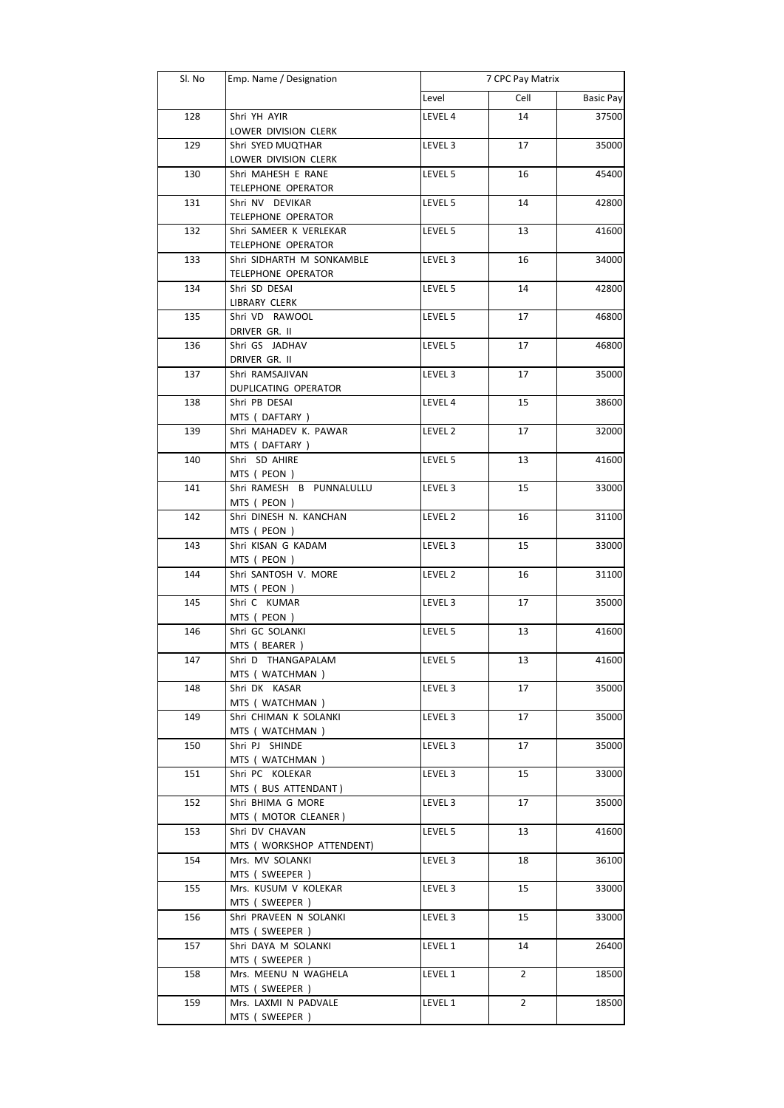| Sl. No | Emp. Name / Designation                    |                    | 7 CPC Pay Matrix |                  |  |
|--------|--------------------------------------------|--------------------|------------------|------------------|--|
|        |                                            | Level              | Cell             | <b>Basic Pay</b> |  |
| 128    | Shri YH AYIR                               | LEVEL 4            | 14               | 37500            |  |
|        | LOWER DIVISION CLERK                       |                    |                  |                  |  |
| 129    | Shri SYED MUQTHAR                          | LEVEL 3            | 17               | 35000            |  |
|        | LOWER DIVISION CLERK                       |                    |                  |                  |  |
| 130    | Shri MAHESH E RANE                         | LEVEL 5            | 16               | 45400            |  |
|        | <b>TELEPHONE OPERATOR</b>                  |                    |                  |                  |  |
| 131    | Shri NV DEVIKAR                            | LEVEL 5            | 14               | 42800            |  |
|        | <b>TELEPHONE OPERATOR</b>                  |                    |                  |                  |  |
| 132    | Shri SAMEER K VERLEKAR                     | LEVEL 5            | 13               | 41600            |  |
|        | <b>TELEPHONE OPERATOR</b>                  |                    |                  |                  |  |
| 133    | Shri SIDHARTH M SONKAMBLE                  | LEVEL 3            | 16               | 34000            |  |
| 134    | <b>TELEPHONE OPERATOR</b><br>Shri SD DESAI | LEVEL 5            | 14               | 42800            |  |
|        | LIBRARY CLERK                              |                    |                  |                  |  |
| 135    | Shri VD RAWOOL                             | LEVEL 5            | 17               | 46800            |  |
|        | DRIVER GR. II                              |                    |                  |                  |  |
| 136    | Shri GS JADHAV                             | LEVEL 5            | 17               | 46800            |  |
|        | DRIVER GR. II                              |                    |                  |                  |  |
| 137    | Shri RAMSAJIVAN                            | LEVEL <sub>3</sub> | 17               | 35000            |  |
|        | <b>DUPLICATING OPERATOR</b>                |                    |                  |                  |  |
| 138    | Shri PB DESAI                              | LEVEL 4            | 15               | 38600            |  |
|        | MTS (DAFTARY)                              |                    |                  |                  |  |
| 139    | Shri MAHADEV K. PAWAR                      | LEVEL 2            | 17               | 32000            |  |
|        | MTS (DAFTARY)                              |                    |                  |                  |  |
| 140    | Shri SD AHIRE                              | LEVEL 5            | 13               | 41600            |  |
|        | MTS ( PEON )                               |                    |                  |                  |  |
| 141    | Shri RAMESH B PUNNALULLU                   | LEVEL 3            | 15               | 33000            |  |
|        | MTS ( PEON )                               |                    |                  |                  |  |
| 142    | Shri DINESH N. KANCHAN                     | LEVEL 2            | 16               | 31100            |  |
|        | MTS ( PEON )                               |                    |                  |                  |  |
| 143    | Shri KISAN G KADAM<br>MTS ( PEON )         | LEVEL 3            | 15               | 33000            |  |
| 144    | Shri SANTOSH V. MORE                       | LEVEL 2            | 16               | 31100            |  |
|        | MTS ( PEON )                               |                    |                  |                  |  |
| 145    | Shri C KUMAR                               | LEVEL <sub>3</sub> | 17               | 35000            |  |
|        | MTS ( PEON )                               |                    |                  |                  |  |
| 146    | Shri GC SOLANKI                            | LEVEL 5            | 13               | 41600            |  |
|        | MTS (BEARER)                               |                    |                  |                  |  |
| 147    | Shri D THANGAPALAM                         | LEVEL 5            | 13               | 41600            |  |
|        | MTS (WATCHMAN)                             |                    |                  |                  |  |
| 148    | Shri DK KASAR                              | LEVEL 3            | 17               | 35000            |  |
|        | MTS ( WATCHMAN )                           |                    |                  |                  |  |
| 149    | Shri CHIMAN K SOLANKI                      | LEVEL 3            | 17               | 35000            |  |
|        | MTS ( WATCHMAN )                           |                    |                  |                  |  |
| 150    | Shri PJ SHINDE                             | LEVEL 3            | 17               | 35000            |  |
| 151    | MTS (WATCHMAN)<br>Shri PC KOLEKAR          | LEVEL 3            | 15               | 33000            |  |
|        | MTS ( BUS ATTENDANT )                      |                    |                  |                  |  |
| 152    | Shri BHIMA G MORE                          | LEVEL 3            | 17               | 35000            |  |
|        | MTS ( MOTOR CLEANER )                      |                    |                  |                  |  |
| 153    | Shri DV CHAVAN                             | LEVEL 5            | 13               | 41600            |  |
|        | MTS ( WORKSHOP ATTENDENT)                  |                    |                  |                  |  |
| 154    | Mrs. MV SOLANKI                            | LEVEL 3            | 18               | 36100            |  |
|        | MTS (SWEEPER)                              |                    |                  |                  |  |
| 155    | Mrs. KUSUM V KOLEKAR                       | LEVEL 3            | 15               | 33000            |  |
|        | MTS (SWEEPER)                              |                    |                  |                  |  |
| 156    | Shri PRAVEEN N SOLANKI                     | LEVEL 3            | 15               | 33000            |  |
|        | MTS (SWEEPER)                              |                    |                  |                  |  |
| 157    | Shri DAYA M SOLANKI                        | LEVEL 1            | 14               | 26400            |  |
|        | MTS (SWEEPER)                              |                    |                  |                  |  |
| 158    | Mrs. MEENU N WAGHELA                       | LEVEL 1            | $\overline{2}$   | 18500            |  |
|        | MTS (SWEEPER)                              |                    |                  |                  |  |
| 159    | Mrs. LAXMI N PADVALE                       | LEVEL 1            | 2                | 18500            |  |
|        | MTS (SWEEPER)                              |                    |                  |                  |  |